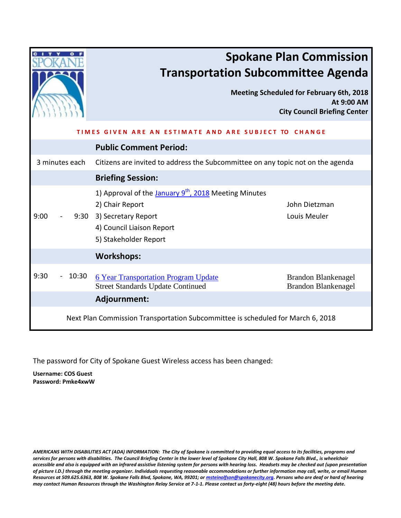|                                                                                 |                                                                                                                                                                        | <b>Spokane Plan Commission</b><br><b>Transportation Subcommittee Agenda</b>                          |  |  |  |  |
|---------------------------------------------------------------------------------|------------------------------------------------------------------------------------------------------------------------------------------------------------------------|------------------------------------------------------------------------------------------------------|--|--|--|--|
|                                                                                 |                                                                                                                                                                        | <b>Meeting Scheduled for February 6th, 2018</b><br>At 9:00 AM<br><b>City Council Briefing Center</b> |  |  |  |  |
| CHANGE<br>AND ARE SUBJE<br>VFN ARF                                              |                                                                                                                                                                        |                                                                                                      |  |  |  |  |
|                                                                                 | <b>Public Comment Period:</b>                                                                                                                                          |                                                                                                      |  |  |  |  |
| 3 minutes each                                                                  | Citizens are invited to address the Subcommittee on any topic not on the agenda                                                                                        |                                                                                                      |  |  |  |  |
|                                                                                 | <b>Briefing Session:</b>                                                                                                                                               |                                                                                                      |  |  |  |  |
| 9:00                                                                            | 1) Approval of the January 9 <sup>th</sup> , 2018 Meeting Minutes<br>2) Chair Report<br>9:30 3) Secretary Report<br>4) Council Liaison Report<br>5) Stakeholder Report | John Dietzman<br>Louis Meuler                                                                        |  |  |  |  |
|                                                                                 | <b>Workshops:</b>                                                                                                                                                      |                                                                                                      |  |  |  |  |
| 9:30<br>10:30                                                                   | <b>6 Year Transportation Program Update</b><br><b>Street Standards Update Continued</b>                                                                                | <b>Brandon Blankenagel</b><br><b>Brandon Blankenagel</b>                                             |  |  |  |  |
|                                                                                 | Adjournment:                                                                                                                                                           |                                                                                                      |  |  |  |  |
| Next Plan Commission Transportation Subcommittee is scheduled for March 6, 2018 |                                                                                                                                                                        |                                                                                                      |  |  |  |  |

The password for City of Spokane Guest Wireless access has been changed:

**Username: COS Guest Password: Pmke4xwW**

*AMERICANS WITH DISABILITIES ACT (ADA) INFORMATION: The City of Spokane is committed to providing equal access to its facilities, programs and services for persons with disabilities. The Council Briefing Center in the lower level of Spokane City Hall, 808 W. Spokane Falls Blvd., is wheelchair accessible and also is equipped with an infrared assistive listening system for persons with hearing loss. Headsets may be checked out (upon presentation of picture I.D.) through the meeting organizer. Individuals requesting reasonable accommodations or further information may call, write, or email Human Resources at 509.625.6363, 808 W. Spokane Falls Blvd, Spokane, WA, 99201; o[r msteinolfson@spokanecity.org.](mailto:msteinolfson@spokanecity.org) Persons who are deaf or hard of hearing may contact Human Resources through the Washington Relay Service at 7-1-1. Please contact us forty-eight (48) hours before the meeting date.*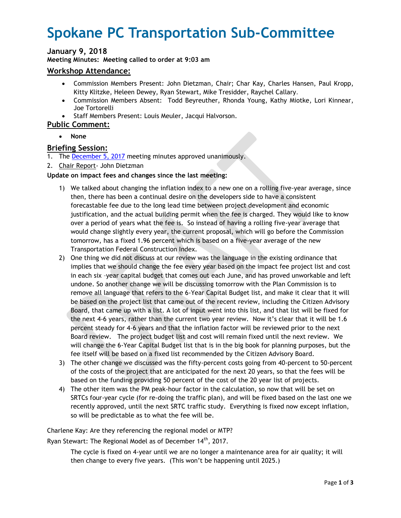# <span id="page-1-0"></span>**Spokane PC Transportation Sub-Committee**

# **January 9, 2018**

**Meeting Minutes: Meeting called to order at 9:03 am**

### **Workshop Attendance:**

- Commission Members Present: John Dietzman, Chair; Char Kay, Charles Hansen, Paul Kropp, Kitty Klitzke, Heleen Dewey, Ryan Stewart, Mike Tresidder, Raychel Callary.
- Commission Members Absent: Todd Beyreuther, Rhonda Young, Kathy Miotke, Lori Kinnear, Joe Tortorelli
- Staff Members Present: Louis Meuler, Jacqui Halvorson.

# **Public Comment:**

**None** 

## **Briefing Session:**

- 1. The December 5, 2017 meeting minutes approved unanimously.
- 2. Chair Report- John Dietzman

#### **Update on impact fees and changes since the last meeting:**

- 1) We talked about changing the inflation index to a new one on a rolling five-year average, since then, there has been a continual desire on the developers side to have a consistent forecastable fee due to the long lead time between project development and economic justification, and the actual building permit when the fee is charged. They would like to know over a period of years what the fee is. So instead of having a rolling five-year average that would change slightly every year, the current proposal, which will go before the Commission tomorrow, has a fixed 1.96 percent which is based on a five-year average of the new Transportation Federal Construction Index.
- 2) One thing we did not discuss at our review was the language in the existing ordinance that implies that we should change the fee every year based on the impact fee project list and cost in each six –year capital budget that comes out each June, and has proved unworkable and left undone. So another change we will be discussing tomorrow with the Plan Commission is to remove all language that refers to the 6-Year Capital Budget list, and make it clear that it will be based on the project list that came out of the recent review, including the Citizen Advisory Board, that came up with a list. A lot of input went into this list, and that list will be fixed for the next 4-6 years, rather than the current two year review. Now it's clear that it will be 1.6 percent steady for 4-6 years and that the inflation factor will be reviewed prior to the next Board review. The project budget list and cost will remain fixed until the next review. We will change the 6-Year Capital Budget list that is in the big book for planning purposes, but the fee itself will be based on a fixed list recommended by the Citizen Advisory Board.
- 3) The other change we discussed was the fifty-percent costs going from 40-percent to 50-percent of the costs of the project that are anticipated for the next 20 years, so that the fees will be based on the funding providing 50 percent of the cost of the 20 year list of projects.
- 4) The other item was the PM peak-hour factor in the calculation, so now that will be set on SRTCs four-year cycle (for re-doing the traffic plan), and will be fixed based on the last one we recently approved, until the next SRTC traffic study. Everything is fixed now except inflation, so will be predictable as to what the fee will be.

Charlene Kay: Are they referencing the regional model or MTP?

Ryan Stewart: The Regional Model as of December 14th, 2017.

The cycle is fixed on 4-year until we are no longer a maintenance area for air quality; it will then change to every five years. (This won't be happening until 2025.)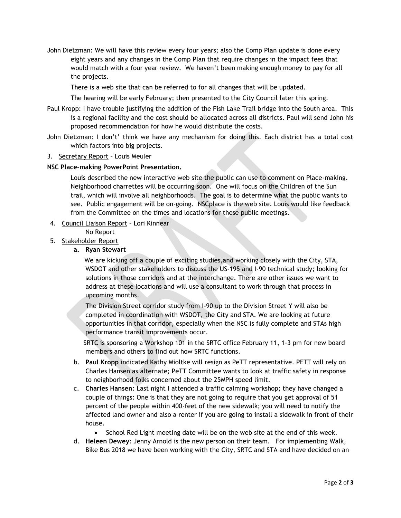John Dietzman: We will have this review every four years; also the Comp Plan update is done every eight years and any changes in the Comp Plan that require changes in the impact fees that would match with a four year review. We haven't been making enough money to pay for all the projects.

There is a web site that can be referred to for all changes that will be updated.

The hearing will be early February; then presented to the City Council later this spring.

- Paul Kropp: I have trouble justifying the addition of the Fish Lake Trail bridge into the South area. This is a regional facility and the cost should be allocated across all districts*.* Paul will send John his proposed recommendation for how he would distribute the costs.
- John Dietzman: I don't' think we have any mechanism for doing this. Each district has a total cost which factors into big projects.
- 3. Secretary Report Louis Meuler

#### **NSC Place-making PowerPoint Presentation.**

Louis described the new interactive web site the public can use to comment on Place-making. Neighborhood charrettes will be occurring soon. One will focus on the Children of the Sun trail, which will involve all neighborhoods. The goal is to determine what the public wants to see. Public engagement will be on-going. NSCplace is the web site. Louis would like feedback from the Committee on the times and locations for these public meetings.

4. Council Liaison Report – Lori Kinnear

No Report

- 5. Stakeholder Report
	- **a. Ryan Stewart**

 We are kicking off a couple of exciting studies,and working closely with the City, STA, WSDOT and other stakeholders to discuss the US-195 and I-90 technical study; looking for solutions in those corridors and at the interchange. There are other issues we want to address at these locations and will use a consultant to work through that process in upcoming months.

 The Division Street corridor study from I-90 up to the Division Street Y will also be completed in coordination with WSDOT, the City and STA. We are looking at future opportunities in that corridor, especially when the NSC is fully complete and STAs high performance transit improvements occur.

 SRTC is sponsoring a Workshop 101 in the SRTC office February 11, 1-3 pm for new board members and others to find out how SRTC functions.

- b. **Paul Kropp** indicated Kathy Mioltke will resign as PeTT representative. PETT will rely on Charles Hansen as alternate; PeTT Committee wants to look at traffic safety in response to neighborhood folks concerned about the 25MPH speed limit.
- c. **Charles Hansen**: Last night I attended a traffic calming workshop; they have changed a couple of things: One is that they are not going to require that you get approval of 51 percent of the people within 400-feet of the new sidewalk; you will need to notify the affected land owner and also a renter if you are going to install a sidewalk in front of their house.
	- School Red Light meeting date will be on the web site at the end of this week.
- d. **Heleen Dewey**: Jenny Arnold is the new person on their team. For implementing Walk, Bike Bus 2018 we have been working with the City, SRTC and STA and have decided on an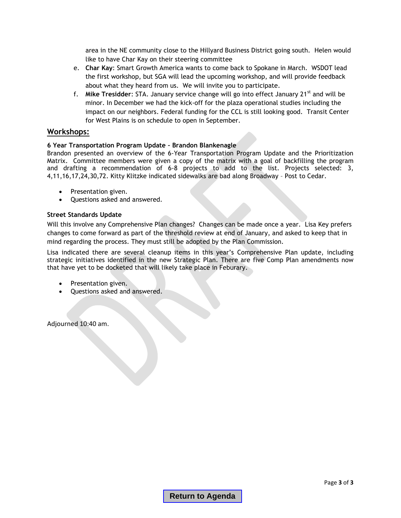area in the NE community close to the Hillyard Business District going south. Helen would like to have Char Kay on their steering committee

- e. **Char Kay**: Smart Growth America wants to come back to Spokane in March. WSDOT lead the first workshop, but SGA will lead the upcoming workshop, and will provide feedback about what they heard from us. We will invite you to participate.
- f. **Mike Tresidder**: STA. January service change will go into effect January 21st and will be minor. In December we had the kick-off for the plaza operational studies including the impact on our neighbors. Federal funding for the CCL is still looking good. Transit Center for West Plains is on schedule to open in September.

# **Workshops:**

#### **6 Year Transportation Program Update – Brandon Blankenagle**

Brandon presented an overview of the 6-Year Transportation Program Update and the Prioritization Matrix. Committee members were given a copy of the matrix with a goal of backfilling the program and drafting a recommendation of 6-8 projects to add to the list. Projects selected: 3, 4,11,16,17,24,30,72. Kitty Klitzke indicated sidewalks are bad along Broadway – Post to Cedar.

- Presentation given.
- Questions asked and answered.

#### **Street Standards Update**

Will this involve any Comprehensive Plan changes? Changes can be made once a year. Lisa Key prefers changes to come forward as part of the threshold review at end of January, and asked to keep that in mind regarding the process. They must still be adopted by the Plan Commission.

Lisa indicated there are several cleanup items in this year's Comprehensive Plan update, including strategic initiatives identified in the new Strategic Plan. There are five Comp Plan amendments now that have yet to be docketed that will likely take place in Feburary.

- Presentation given.
- Questions asked and answered.

Adjourned 10:40 am.